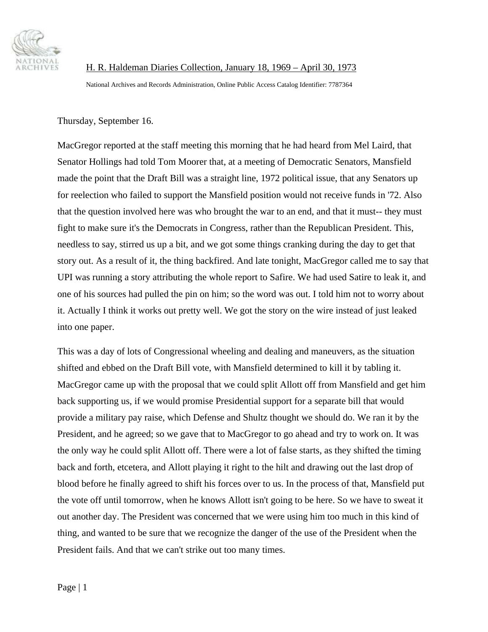

 H. R. Haldeman Diaries Collection, January 18, 1969 – April 30, 1973 National Archives and Records Administration, Online Public Access Catalog Identifier: 7787364

Thursday, September 16.

MacGregor reported at the staff meeting this morning that he had heard from Mel Laird, that Senator Hollings had told Tom Moorer that, at a meeting of Democratic Senators, Mansfield made the point that the Draft Bill was a straight line, 1972 political issue, that any Senators up for reelection who failed to support the Mansfield position would not receive funds in '72. Also that the question involved here was who brought the war to an end, and that it must-- they must fight to make sure it's the Democrats in Congress, rather than the Republican President. This, needless to say, stirred us up a bit, and we got some things cranking during the day to get that story out. As a result of it, the thing backfired. And late tonight, MacGregor called me to say that UPI was running a story attributing the whole report to Safire. We had used Satire to leak it, and one of his sources had pulled the pin on him; so the word was out. I told him not to worry about it. Actually I think it works out pretty well. We got the story on the wire instead of just leaked into one paper.

This was a day of lots of Congressional wheeling and dealing and maneuvers, as the situation shifted and ebbed on the Draft Bill vote, with Mansfield determined to kill it by tabling it. MacGregor came up with the proposal that we could split Allott off from Mansfield and get him back supporting us, if we would promise Presidential support for a separate bill that would provide a military pay raise, which Defense and Shultz thought we should do. We ran it by the President, and he agreed; so we gave that to MacGregor to go ahead and try to work on. It was the only way he could split Allott off. There were a lot of false starts, as they shifted the timing back and forth, etcetera, and Allott playing it right to the hilt and drawing out the last drop of blood before he finally agreed to shift his forces over to us. In the process of that, Mansfield put the vote off until tomorrow, when he knows Allott isn't going to be here. So we have to sweat it out another day. The President was concerned that we were using him too much in this kind of thing, and wanted to be sure that we recognize the danger of the use of the President when the President fails. And that we can't strike out too many times.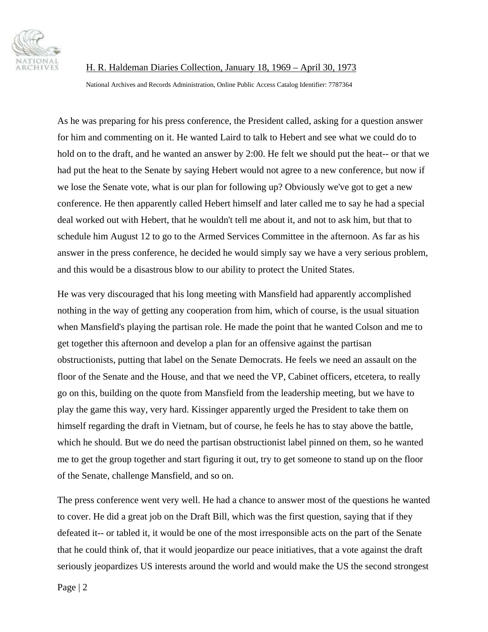

## H. R. Haldeman Diaries Collection, January 18, 1969 – April 30, 1973

National Archives and Records Administration, Online Public Access Catalog Identifier: 7787364

As he was preparing for his press conference, the President called, asking for a question answer for him and commenting on it. He wanted Laird to talk to Hebert and see what we could do to hold on to the draft, and he wanted an answer by 2:00. He felt we should put the heat-- or that we had put the heat to the Senate by saying Hebert would not agree to a new conference, but now if we lose the Senate vote, what is our plan for following up? Obviously we've got to get a new conference. He then apparently called Hebert himself and later called me to say he had a special deal worked out with Hebert, that he wouldn't tell me about it, and not to ask him, but that to schedule him August 12 to go to the Armed Services Committee in the afternoon. As far as his answer in the press conference, he decided he would simply say we have a very serious problem, and this would be a disastrous blow to our ability to protect the United States.

He was very discouraged that his long meeting with Mansfield had apparently accomplished nothing in the way of getting any cooperation from him, which of course, is the usual situation when Mansfield's playing the partisan role. He made the point that he wanted Colson and me to get together this afternoon and develop a plan for an offensive against the partisan obstructionists, putting that label on the Senate Democrats. He feels we need an assault on the floor of the Senate and the House, and that we need the VP, Cabinet officers, etcetera, to really go on this, building on the quote from Mansfield from the leadership meeting, but we have to play the game this way, very hard. Kissinger apparently urged the President to take them on himself regarding the draft in Vietnam, but of course, he feels he has to stay above the battle, which he should. But we do need the partisan obstructionist label pinned on them, so he wanted me to get the group together and start figuring it out, try to get someone to stand up on the floor of the Senate, challenge Mansfield, and so on.

The press conference went very well. He had a chance to answer most of the questions he wanted to cover. He did a great job on the Draft Bill, which was the first question, saying that if they defeated it-- or tabled it, it would be one of the most irresponsible acts on the part of the Senate that he could think of, that it would jeopardize our peace initiatives, that a vote against the draft seriously jeopardizes US interests around the world and would make the US the second strongest